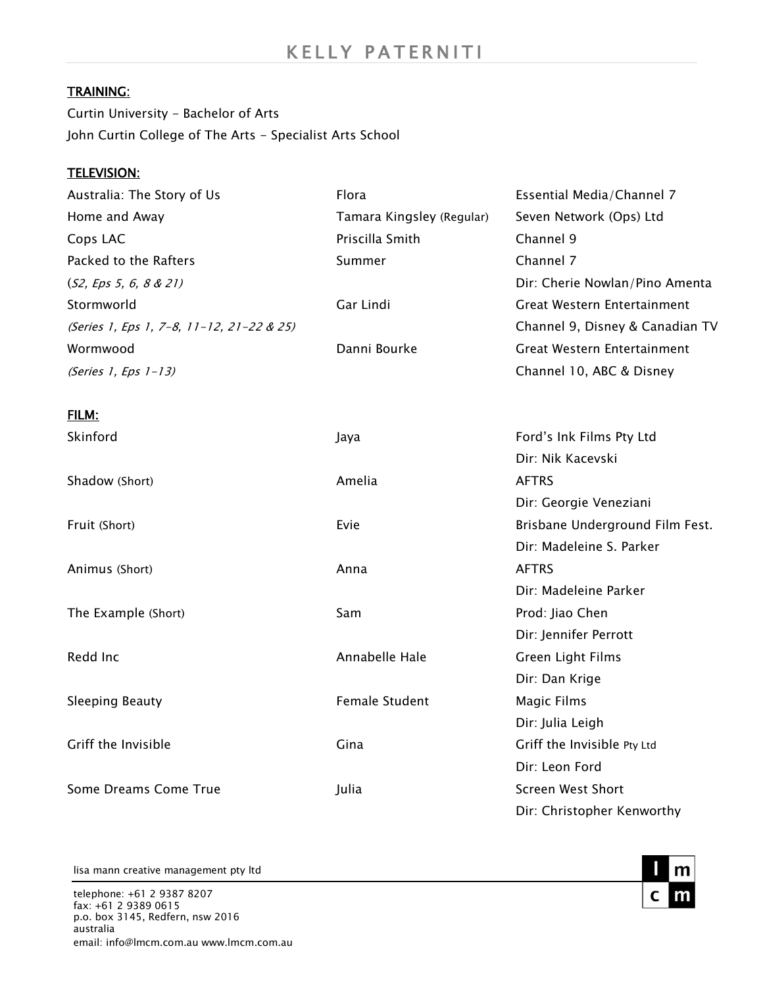#### TRAINING:

Curtin University - Bachelor of Arts John Curtin College of The Arts - Specialist Arts School

#### TELEVISION:

| Australia: The Story of Us                | Flora                     | Essential Media/Channel 7       |
|-------------------------------------------|---------------------------|---------------------------------|
| Home and Away                             | Tamara Kingsley (Regular) | Seven Network (Ops) Ltd         |
| Cops LAC                                  | Priscilla Smith           | Channel 9                       |
| Packed to the Rafters                     | Summer                    | Channel 7                       |
| (S2, Eps 5, 6, 8 & 21)                    |                           | Dir: Cherie Nowlan/Pino Amenta  |
| Stormworld                                | Gar Lindi                 | Great Western Entertainment     |
| (Series 1, Eps 1, 7-8, 11-12, 21-22 & 25) |                           | Channel 9, Disney & Canadian TV |
| Wormwood                                  | Danni Bourke              | Great Western Entertainment     |
| (Series 1, Eps 1-13)                      |                           | Channel 10, ABC & Disney        |
| FILM:                                     |                           |                                 |
| Skinford                                  | Jaya                      | Ford's Ink Films Pty Ltd        |

|                        |                       | Dir: Nik Kacevski               |
|------------------------|-----------------------|---------------------------------|
| Shadow (Short)         | Amelia                | <b>AFTRS</b>                    |
|                        |                       | Dir: Georgie Veneziani          |
| Fruit (Short)          | Evie                  | Brisbane Underground Film Fest. |
|                        |                       | Dir: Madeleine S. Parker        |
| Animus (Short)         | Anna                  | <b>AFTRS</b>                    |
|                        |                       | Dir: Madeleine Parker           |
| The Example (Short)    | Sam                   | Prod: Jiao Chen                 |
|                        |                       | Dir: Jennifer Perrott           |
| Redd Inc               | Annabelle Hale        | Green Light Films               |
|                        |                       | Dir: Dan Krige                  |
| <b>Sleeping Beauty</b> | <b>Female Student</b> | Magic Films                     |
|                        |                       | Dir: Julia Leigh                |
| Griff the Invisible    | Gina                  | Griff the Invisible Pty Ltd     |
|                        |                       | Dir: Leon Ford                  |
| Some Dreams Come True  | Julia                 | <b>Screen West Short</b>        |
|                        |                       | Dir: Christopher Kenworthy      |

lisa mann creative management pty ltd

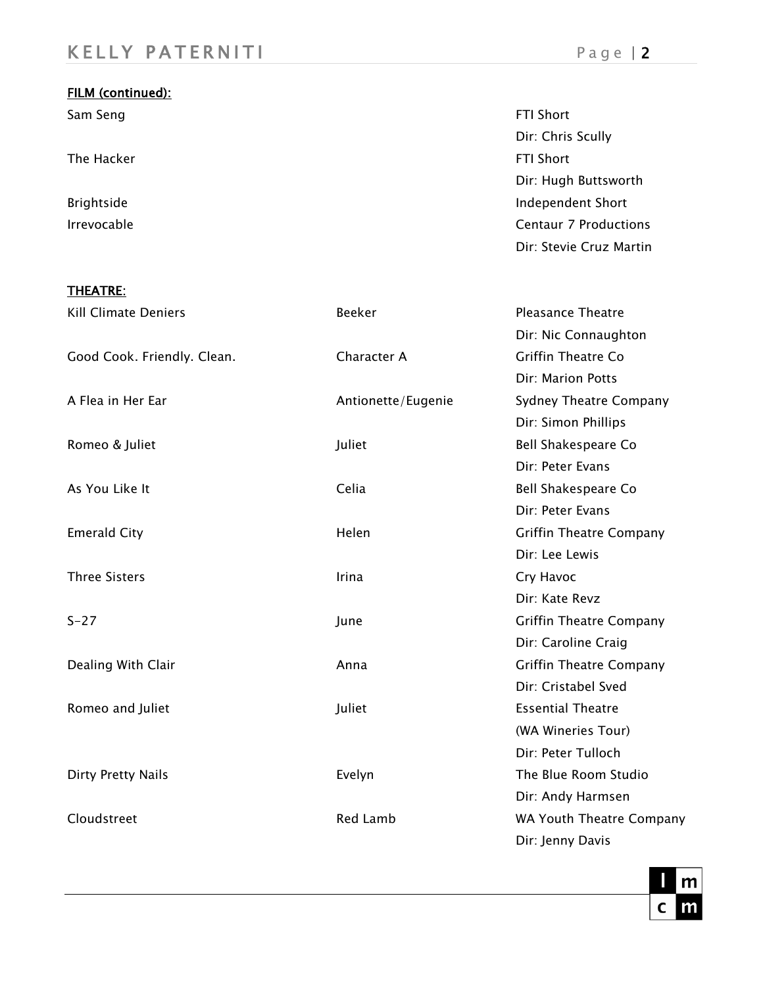| FILM (continued): |                              |
|-------------------|------------------------------|
| Sam Seng          | <b>FTI Short</b>             |
|                   | Dir: Chris Scully            |
| The Hacker        | <b>FTI Short</b>             |
|                   | Dir: Hugh Buttsworth         |
| Brightside        | <b>Independent Short</b>     |
| Irrevocable       | <b>Centaur 7 Productions</b> |
|                   | Dir: Stevie Cruz Martin      |

### THEATRE:

| <b>Kill Climate Deniers</b> | Beeker             | <b>Pleasance Theatre</b>       |
|-----------------------------|--------------------|--------------------------------|
|                             |                    | Dir: Nic Connaughton           |
| Good Cook. Friendly. Clean. | Character A        | <b>Griffin Theatre Co</b>      |
|                             |                    | Dir: Marion Potts              |
| A Flea in Her Ear           | Antionette/Eugenie | Sydney Theatre Company         |
|                             |                    | Dir: Simon Phillips            |
| Romeo & Juliet              | Juliet             | Bell Shakespeare Co            |
|                             |                    | Dir: Peter Evans               |
| As You Like It              | Celia              | Bell Shakespeare Co            |
|                             |                    | Dir: Peter Evans               |
| <b>Emerald City</b>         | Helen              | <b>Griffin Theatre Company</b> |
|                             |                    | Dir: Lee Lewis                 |
| <b>Three Sisters</b>        | Irina              | Cry Havoc                      |
|                             |                    | Dir: Kate Revz                 |
| $S - 27$                    | June               | <b>Griffin Theatre Company</b> |
|                             |                    | Dir: Caroline Craig            |
| Dealing With Clair          | Anna               | <b>Griffin Theatre Company</b> |
|                             |                    | Dir: Cristabel Sved            |
| Romeo and Juliet            | Juliet             | <b>Essential Theatre</b>       |
|                             |                    | (WA Wineries Tour)             |
|                             |                    | Dir: Peter Tulloch             |
| Dirty Pretty Nails          | Evelyn             | The Blue Room Studio           |
|                             |                    | Dir: Andy Harmsen              |
| Cloudstreet                 | <b>Red Lamb</b>    | WA Youth Theatre Company       |
|                             |                    | Dir: Jenny Davis               |